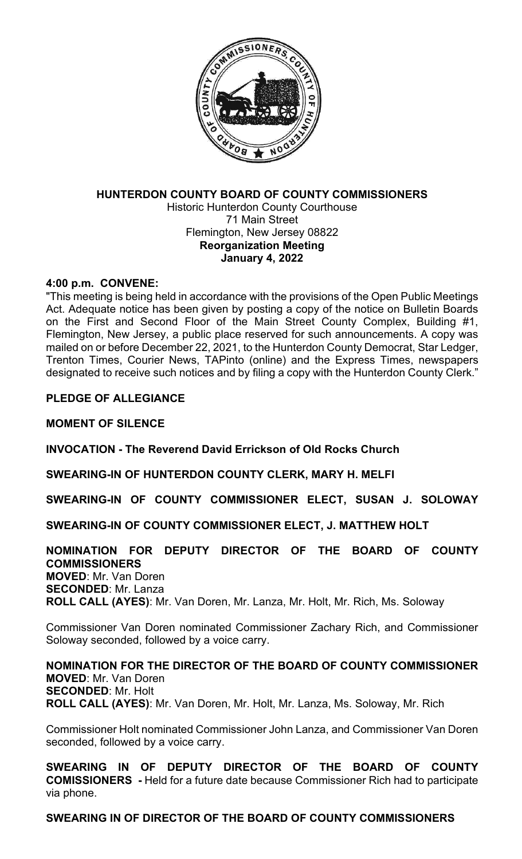

## **HUNTERDON COUNTY BOARD OF COUNTY COMMISSIONERS** Historic Hunterdon County Courthouse 71 Main Street Flemington, New Jersey 08822 **Reorganization Meeting January 4, 2022**

### **4:00 p.m. CONVENE:**

"This meeting is being held in accordance with the provisions of the Open Public Meetings Act. Adequate notice has been given by posting a copy of the notice on Bulletin Boards on the First and Second Floor of the Main Street County Complex, Building #1, Flemington, New Jersey, a public place reserved for such announcements. A copy was mailed on or before December 22, 2021, to the Hunterdon County Democrat, Star Ledger, Trenton Times, Courier News, TAPinto (online) and the Express Times, newspapers designated to receive such notices and by filing a copy with the Hunterdon County Clerk."

### **PLEDGE OF ALLEGIANCE**

### **MOMENT OF SILENCE**

**INVOCATION - The Reverend David Errickson of Old Rocks Church**

**SWEARING-IN OF HUNTERDON COUNTY CLERK, MARY H. MELFI**

**SWEARING-IN OF COUNTY COMMISSIONER ELECT, SUSAN J. SOLOWAY**

**SWEARING-IN OF COUNTY COMMISSIONER ELECT, J. MATTHEW HOLT**

### **NOMINATION FOR DEPUTY DIRECTOR OF THE BOARD OF COUNTY COMMISSIONERS MOVED**: Mr. Van Doren **SECONDED**: Mr. Lanza **ROLL CALL (AYES)**: Mr. Van Doren, Mr. Lanza, Mr. Holt, Mr. Rich, Ms. Soloway

Commissioner Van Doren nominated Commissioner Zachary Rich, and Commissioner Soloway seconded, followed by a voice carry.

**NOMINATION FOR THE DIRECTOR OF THE BOARD OF COUNTY COMMISSIONER MOVED**: Mr. Van Doren **SECONDED**: Mr. Holt **ROLL CALL (AYES)**: Mr. Van Doren, Mr. Holt, Mr. Lanza, Ms. Soloway, Mr. Rich

Commissioner Holt nominated Commissioner John Lanza, and Commissioner Van Doren seconded, followed by a voice carry.

**SWEARING IN OF DEPUTY DIRECTOR OF THE BOARD OF COUNTY COMISSIONERS -** Held for a future date because Commissioner Rich had to participate via phone.

## **SWEARING IN OF DIRECTOR OF THE BOARD OF COUNTY COMMISSIONERS**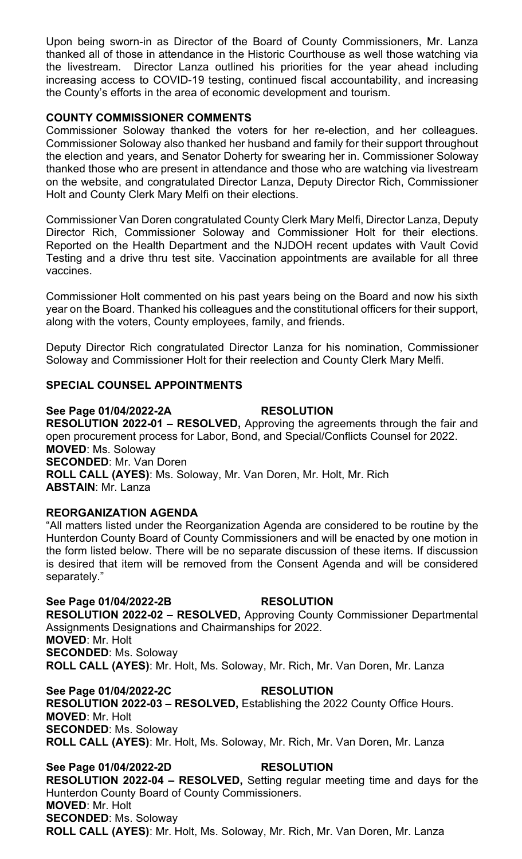Upon being sworn-in as Director of the Board of County Commissioners, Mr. Lanza thanked all of those in attendance in the Historic Courthouse as well those watching via the livestream. Director Lanza outlined his priorities for the year ahead including increasing access to COVID-19 testing, continued fiscal accountability, and increasing the County's efforts in the area of economic development and tourism.

## **COUNTY COMMISSIONER COMMENTS**

Commissioner Soloway thanked the voters for her re-election, and her colleagues. Commissioner Soloway also thanked her husband and family for their support throughout the election and years, and Senator Doherty for swearing her in. Commissioner Soloway thanked those who are present in attendance and those who are watching via livestream on the website, and congratulated Director Lanza, Deputy Director Rich, Commissioner Holt and County Clerk Mary Melfi on their elections.

Commissioner Van Doren congratulated County Clerk Mary Melfi, Director Lanza, Deputy Director Rich, Commissioner Soloway and Commissioner Holt for their elections. Reported on the Health Department and the NJDOH recent updates with Vault Covid Testing and a drive thru test site. Vaccination appointments are available for all three vaccines.

Commissioner Holt commented on his past years being on the Board and now his sixth year on the Board. Thanked his colleagues and the constitutional officers for their support, along with the voters, County employees, family, and friends.

Deputy Director Rich congratulated Director Lanza for his nomination, Commissioner Soloway and Commissioner Holt for their reelection and County Clerk Mary Melfi.

### **SPECIAL COUNSEL APPOINTMENTS**

### **See Page 01/04/2022-2A RESOLUTION RESOLUTION 2022-01 – RESOLVED,** Approving the agreements through the fair and open procurement process for Labor, Bond, and Special/Conflicts Counsel for 2022. **MOVED**: Ms. Soloway **SECONDED**: Mr. Van Doren **ROLL CALL (AYES)**: Ms. Soloway, Mr. Van Doren, Mr. Holt, Mr. Rich **ABSTAIN**: Mr. Lanza

## **REORGANIZATION AGENDA**

"All matters listed under the Reorganization Agenda are considered to be routine by the Hunterdon County Board of County Commissioners and will be enacted by one motion in the form listed below. There will be no separate discussion of these items. If discussion is desired that item will be removed from the Consent Agenda and will be considered separately."

#### **See Page 01/04/2022-2B RESOLUTION RESOLUTION 2022-02 – RESOLVED,** Approving County Commissioner Departmental Assignments Designations and Chairmanships for 2022. **MOVED**: Mr. Holt **SECONDED**: Ms. Soloway

**ROLL CALL (AYES)**: Mr. Holt, Ms. Soloway, Mr. Rich, Mr. Van Doren, Mr. Lanza

**See Page 01/04/2022-2C RESOLUTION RESOLUTION 2022-03 – RESOLVED,** Establishing the 2022 County Office Hours. **MOVED**: Mr. Holt **SECONDED**: Ms. Soloway **ROLL CALL (AYES)**: Mr. Holt, Ms. Soloway, Mr. Rich, Mr. Van Doren, Mr. Lanza

## **See Page 01/04/2022-2D RESOLUTION**

**RESOLUTION 2022-04 – RESOLVED,** Setting regular meeting time and days for the Hunterdon County Board of County Commissioners. **MOVED**: Mr. Holt **SECONDED**: Ms. Soloway **ROLL CALL (AYES)**: Mr. Holt, Ms. Soloway, Mr. Rich, Mr. Van Doren, Mr. Lanza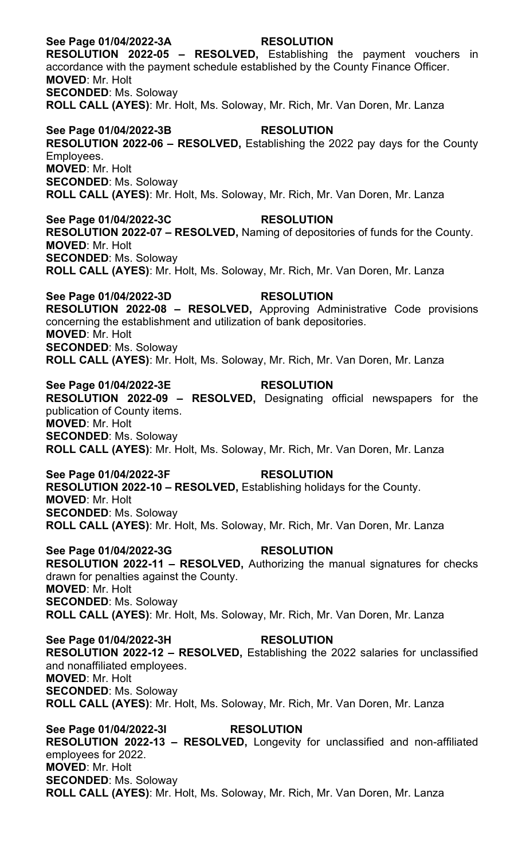### **See Page 01/04/2022-3A RESOLUTION**

**RESOLUTION 2022-05 – RESOLVED,** Establishing the payment vouchers in accordance with the payment schedule established by the County Finance Officer. **MOVED**: Mr. Holt **SECONDED**: Ms. Soloway **ROLL CALL (AYES)**: Mr. Holt, Ms. Soloway, Mr. Rich, Mr. Van Doren, Mr. Lanza

#### **See Page 01/04/2022-3B RESOLUTION**

**RESOLUTION 2022-06 – RESOLVED,** Establishing the 2022 pay days for the County Employees. **MOVED**: Mr. Holt **SECONDED**: Ms. Soloway

**ROLL CALL (AYES)**: Mr. Holt, Ms. Soloway, Mr. Rich, Mr. Van Doren, Mr. Lanza

#### **See Page 01/04/2022-3C RESOLUTION**

**RESOLUTION 2022-07 – RESOLVED,** Naming of depositories of funds for the County. **MOVED**: Mr. Holt **SECONDED**: Ms. Soloway **ROLL CALL (AYES)**: Mr. Holt, Ms. Soloway, Mr. Rich, Mr. Van Doren, Mr. Lanza

## **See Page 01/04/2022-3D RESOLUTION**

**RESOLUTION 2022-08 – RESOLVED,** Approving Administrative Code provisions concerning the establishment and utilization of bank depositories. **MOVED**: Mr. Holt **SECONDED**: Ms. Soloway **ROLL CALL (AYES)**: Mr. Holt, Ms. Soloway, Mr. Rich, Mr. Van Doren, Mr. Lanza

#### **See Page 01/04/2022-3E RESOLUTION RESOLUTION 2022-09 – RESOLVED,** Designating official newspapers for the publication of County items. **MOVED**: Mr. Holt **SECONDED**: Ms. Soloway

**ROLL CALL (AYES)**: Mr. Holt, Ms. Soloway, Mr. Rich, Mr. Van Doren, Mr. Lanza

#### **See Page 01/04/2022-3F RESOLUTION**

**RESOLUTION 2022-10 – RESOLVED,** Establishing holidays for the County. **MOVED**: Mr. Holt **SECONDED**: Ms. Soloway **ROLL CALL (AYES)**: Mr. Holt, Ms. Soloway, Mr. Rich, Mr. Van Doren, Mr. Lanza

#### **See Page 01/04/2022-3G RESOLUTION**

**RESOLUTION 2022-11 – RESOLVED,** Authorizing the manual signatures for checks drawn for penalties against the County. **MOVED**: Mr. Holt **SECONDED**: Ms. Soloway **ROLL CALL (AYES)**: Mr. Holt, Ms. Soloway, Mr. Rich, Mr. Van Doren, Mr. Lanza

**See Page 01/04/2022-3H RESOLUTION**

**RESOLUTION 2022-12 – RESOLVED,** Establishing the 2022 salaries for unclassified and nonaffiliated employees. **MOVED**: Mr. Holt **SECONDED**: Ms. Soloway **ROLL CALL (AYES)**: Mr. Holt, Ms. Soloway, Mr. Rich, Mr. Van Doren, Mr. Lanza

**See Page 01/04/2022-3I RESOLUTION RESOLUTION 2022-13 – RESOLVED,** Longevity for unclassified and non-affiliated employees for 2022. **MOVED**: Mr. Holt **SECONDED**: Ms. Soloway **ROLL CALL (AYES)**: Mr. Holt, Ms. Soloway, Mr. Rich, Mr. Van Doren, Mr. Lanza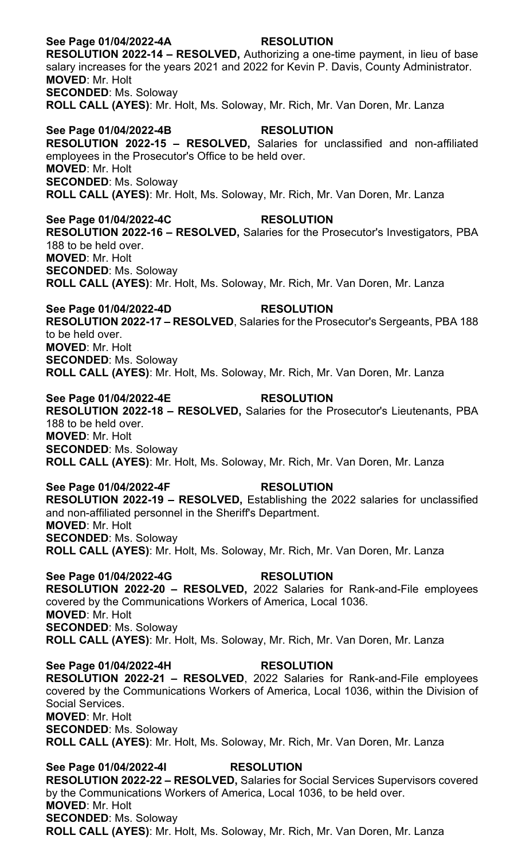## **See Page 01/04/2022-4A RESOLUTION**

**RESOLUTION 2022-14 – RESOLVED,** Authorizing a one-time payment, in lieu of base salary increases for the years 2021 and 2022 for Kevin P. Davis, County Administrator. **MOVED**: Mr. Holt **SECONDED**: Ms. Soloway **ROLL CALL (AYES)**: Mr. Holt, Ms. Soloway, Mr. Rich, Mr. Van Doren, Mr. Lanza

#### **See Page 01/04/2022-4B RESOLUTION**

**RESOLUTION 2022-15 – RESOLVED,** Salaries for unclassified and non-affiliated employees in the Prosecutor's Office to be held over. **MOVED**: Mr. Holt **SECONDED**: Ms. Soloway **ROLL CALL (AYES)**: Mr. Holt, Ms. Soloway, Mr. Rich, Mr. Van Doren, Mr. Lanza

## **See Page 01/04/2022-4C RESOLUTION**

**RESOLUTION 2022-16 – RESOLVED,** Salaries for the Prosecutor's Investigators, PBA 188 to be held over. **MOVED**: Mr. Holt **SECONDED**: Ms. Soloway **ROLL CALL (AYES)**: Mr. Holt, Ms. Soloway, Mr. Rich, Mr. Van Doren, Mr. Lanza

**See Page 01/04/2022-4D RESOLUTION RESOLUTION 2022-17 – RESOLVED**, Salaries for the Prosecutor's Sergeants, PBA 188 to be held over. **MOVED**: Mr. Holt **SECONDED**: Ms. Soloway **ROLL CALL (AYES)**: Mr. Holt, Ms. Soloway, Mr. Rich, Mr. Van Doren, Mr. Lanza

### **See Page 01/04/2022-4E RESOLUTION**

**RESOLUTION 2022-18 – RESOLVED,** Salaries for the Prosecutor's Lieutenants, PBA 188 to be held over. **MOVED**: Mr. Holt **SECONDED**: Ms. Soloway **ROLL CALL (AYES)**: Mr. Holt, Ms. Soloway, Mr. Rich, Mr. Van Doren, Mr. Lanza

#### **See Page 01/04/2022-4F RESOLUTION**

**RESOLUTION 2022-19 – RESOLVED,** Establishing the 2022 salaries for unclassified and non-affiliated personnel in the Sheriff's Department. **MOVED**: Mr. Holt **SECONDED**: Ms. Soloway **ROLL CALL (AYES)**: Mr. Holt, Ms. Soloway, Mr. Rich, Mr. Van Doren, Mr. Lanza

**See Page 01/04/2022-4G RESOLUTION RESOLUTION 2022-20 – RESOLVED,** 2022 Salaries for Rank-and-File employees covered by the Communications Workers of America, Local 1036. **MOVED**: Mr. Holt **SECONDED**: Ms. Soloway **ROLL CALL (AYES)**: Mr. Holt, Ms. Soloway, Mr. Rich, Mr. Van Doren, Mr. Lanza

## **See Page 01/04/2022-4H RESOLUTION**

**RESOLUTION 2022-21 – RESOLVED**, 2022 Salaries for Rank-and-File employees covered by the Communications Workers of America, Local 1036, within the Division of Social Services. **MOVED**: Mr. Holt

**SECONDED**: Ms. Soloway **ROLL CALL (AYES)**: Mr. Holt, Ms. Soloway, Mr. Rich, Mr. Van Doren, Mr. Lanza

## **See Page 01/04/2022-4I RESOLUTION**

**RESOLUTION 2022-22 – RESOLVED,** Salaries for Social Services Supervisors covered by the Communications Workers of America, Local 1036, to be held over. **MOVED**: Mr. Holt **SECONDED**: Ms. Soloway **ROLL CALL (AYES)**: Mr. Holt, Ms. Soloway, Mr. Rich, Mr. Van Doren, Mr. Lanza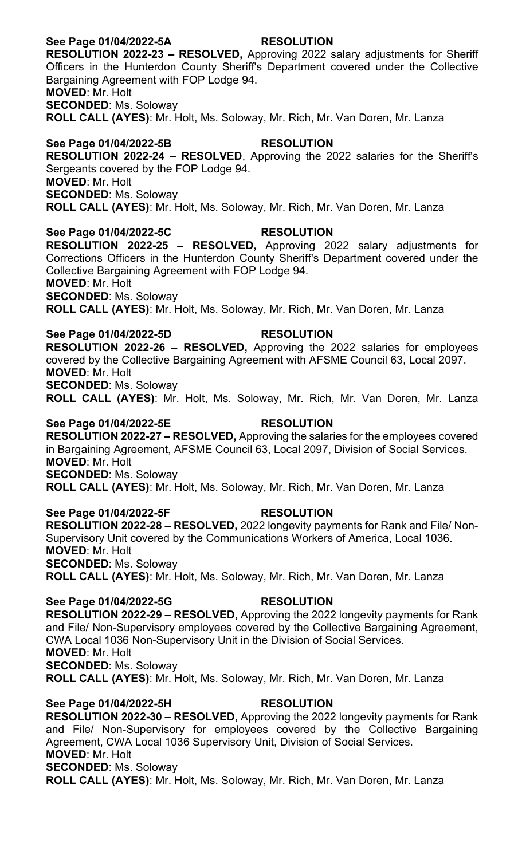## **See Page 01/04/2022-5A RESOLUTION**

**RESOLUTION 2022-23 – RESOLVED,** Approving 2022 salary adjustments for Sheriff Officers in the Hunterdon County Sheriff's Department covered under the Collective Bargaining Agreement with FOP Lodge 94. **MOVED**: Mr. Holt

**SECONDED**: Ms. Soloway

**ROLL CALL (AYES)**: Mr. Holt, Ms. Soloway, Mr. Rich, Mr. Van Doren, Mr. Lanza

## **See Page 01/04/2022-5B RESOLUTION**

**RESOLUTION 2022-24 – RESOLVED**, Approving the 2022 salaries for the Sheriff's Sergeants covered by the FOP Lodge 94. **MOVED**: Mr. Holt

**SECONDED**: Ms. Soloway

**ROLL CALL (AYES)**: Mr. Holt, Ms. Soloway, Mr. Rich, Mr. Van Doren, Mr. Lanza

## **See Page 01/04/2022-5C RESOLUTION**

**RESOLUTION 2022-25 – RESOLVED,** Approving 2022 salary adjustments for Corrections Officers in the Hunterdon County Sheriff's Department covered under the Collective Bargaining Agreement with FOP Lodge 94. **MOVED**: Mr. Holt

**SECONDED**: Ms. Soloway

**ROLL CALL (AYES)**: Mr. Holt, Ms. Soloway, Mr. Rich, Mr. Van Doren, Mr. Lanza

#### **See Page 01/04/2022-5D RESOLUTION**

**RESOLUTION 2022-26 – RESOLVED,** Approving the 2022 salaries for employees covered by the Collective Bargaining Agreement with AFSME Council 63, Local 2097. **MOVED**: Mr. Holt **SECONDED**: Ms. Soloway

**ROLL CALL (AYES)**: Mr. Holt, Ms. Soloway, Mr. Rich, Mr. Van Doren, Mr. Lanza

## **See Page 01/04/2022-5E RESOLUTION**

**RESOLUTION 2022-27 – RESOLVED,** Approving the salaries for the employees covered in Bargaining Agreement, AFSME Council 63, Local 2097, Division of Social Services. **MOVED**: Mr. Holt **SECONDED**: Ms. Soloway

**ROLL CALL (AYES)**: Mr. Holt, Ms. Soloway, Mr. Rich, Mr. Van Doren, Mr. Lanza

## **See Page 01/04/2022-5F RESOLUTION**

**RESOLUTION 2022-28 – RESOLVED,** 2022 longevity payments for Rank and File/ Non-Supervisory Unit covered by the Communications Workers of America, Local 1036. **MOVED**: Mr. Holt **SECONDED**: Ms. Soloway **ROLL CALL (AYES)**: Mr. Holt, Ms. Soloway, Mr. Rich, Mr. Van Doren, Mr. Lanza

## **See Page 01/04/2022-5G RESOLUTION**

**RESOLUTION 2022-29 – RESOLVED,** Approving the 2022 longevity payments for Rank and File/ Non-Supervisory employees covered by the Collective Bargaining Agreement, CWA Local 1036 Non-Supervisory Unit in the Division of Social Services. **MOVED**: Mr. Holt **SECONDED**: Ms. Soloway **ROLL CALL (AYES)**: Mr. Holt, Ms. Soloway, Mr. Rich, Mr. Van Doren, Mr. Lanza

## **See Page 01/04/2022-5H RESOLUTION**

**RESOLUTION 2022-30 – RESOLVED,** Approving the 2022 longevity payments for Rank and File/ Non-Supervisory for employees covered by the Collective Bargaining Agreement, CWA Local 1036 Supervisory Unit, Division of Social Services. **MOVED**: Mr. Holt **SECONDED**: Ms. Soloway **ROLL CALL (AYES)**: Mr. Holt, Ms. Soloway, Mr. Rich, Mr. Van Doren, Mr. Lanza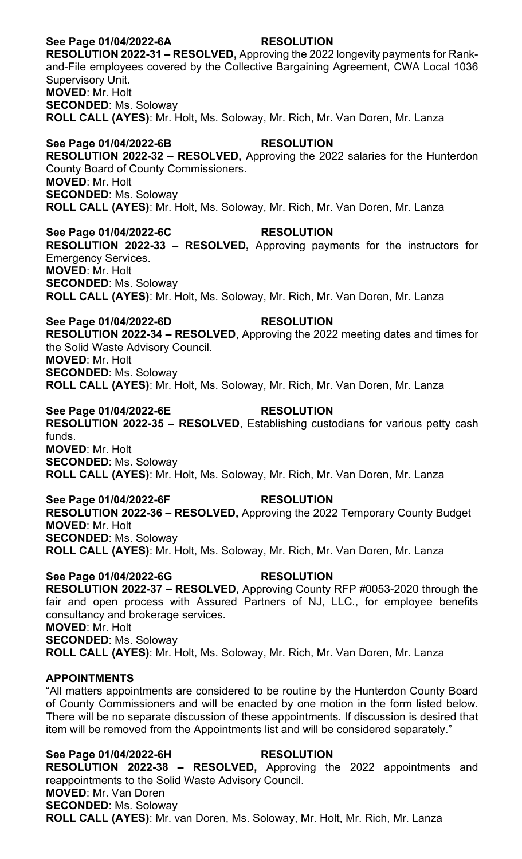## **See Page 01/04/2022-6A RESOLUTION**

**RESOLUTION 2022-31 – RESOLVED,** Approving the 2022 longevity payments for Rankand-File employees covered by the Collective Bargaining Agreement, CWA Local 1036 Supervisory Unit. **MOVED**: Mr. Holt **SECONDED**: Ms. Soloway **ROLL CALL (AYES)**: Mr. Holt, Ms. Soloway, Mr. Rich, Mr. Van Doren, Mr. Lanza

## **See Page 01/04/2022-6B RESOLUTION**

**RESOLUTION 2022-32 – RESOLVED,** Approving the 2022 salaries for the Hunterdon County Board of County Commissioners. **MOVED**: Mr. Holt **SECONDED**: Ms. Soloway **ROLL CALL (AYES)**: Mr. Holt, Ms. Soloway, Mr. Rich, Mr. Van Doren, Mr. Lanza

**See Page 01/04/2022-6C RESOLUTION RESOLUTION 2022-33 – RESOLVED,** Approving payments for the instructors for Emergency Services. **MOVED**: Mr. Holt **SECONDED**: Ms. Soloway **ROLL CALL (AYES)**: Mr. Holt, Ms. Soloway, Mr. Rich, Mr. Van Doren, Mr. Lanza

**See Page 01/04/2022-6D RESOLUTION RESOLUTION 2022-34 – RESOLVED**, Approving the 2022 meeting dates and times for the Solid Waste Advisory Council. **MOVED**: Mr. Holt **SECONDED**: Ms. Soloway **ROLL CALL (AYES)**: Mr. Holt, Ms. Soloway, Mr. Rich, Mr. Van Doren, Mr. Lanza

**See Page 01/04/2022-6E RESOLUTION RESOLUTION 2022-35 – RESOLVED**, Establishing custodians for various petty cash funds. **MOVED**: Mr. Holt **SECONDED**: Ms. Soloway **ROLL CALL (AYES)**: Mr. Holt, Ms. Soloway, Mr. Rich, Mr. Van Doren, Mr. Lanza

**See Page 01/04/2022-6F RESOLUTION RESOLUTION 2022-36 – RESOLVED,** Approving the 2022 Temporary County Budget **MOVED**: Mr. Holt **SECONDED**: Ms. Soloway **ROLL CALL (AYES)**: Mr. Holt, Ms. Soloway, Mr. Rich, Mr. Van Doren, Mr. Lanza

See Page 01/04/2022-6G<br>
RESOLUTION **RESOLUTION 2022-37 – RESOLVED,** Approving County RFP #0053-2020 through the fair and open process with Assured Partners of NJ, LLC., for employee benefits consultancy and brokerage services. **MOVED**: Mr. Holt **SECONDED**: Ms. Soloway **ROLL CALL (AYES)**: Mr. Holt, Ms. Soloway, Mr. Rich, Mr. Van Doren, Mr. Lanza

#### **APPOINTMENTS**

"All matters appointments are considered to be routine by the Hunterdon County Board of County Commissioners and will be enacted by one motion in the form listed below. There will be no separate discussion of these appointments. If discussion is desired that item will be removed from the Appointments list and will be considered separately."

**See Page 01/04/2022-6H RESOLUTION RESOLUTION 2022-38 – RESOLVED,** Approving the 2022 appointments and reappointments to the Solid Waste Advisory Council. **MOVED**: Mr. Van Doren **SECONDED**: Ms. Soloway **ROLL CALL (AYES)**: Mr. van Doren, Ms. Soloway, Mr. Holt, Mr. Rich, Mr. Lanza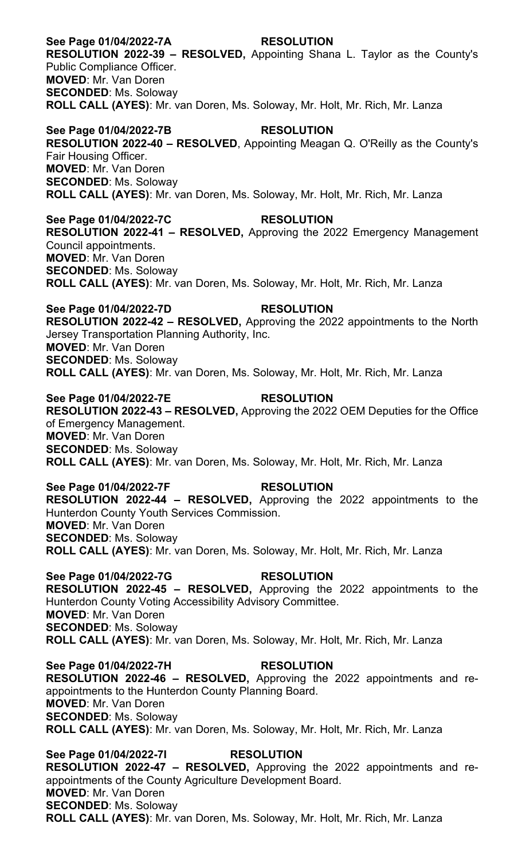## **See Page 01/04/2022-7A RESOLUTION RESOLUTION 2022-39 – RESOLVED,** Appointing Shana L. Taylor as the County's Public Compliance Officer. **MOVED**: Mr. Van Doren **SECONDED**: Ms. Soloway **ROLL CALL (AYES)**: Mr. van Doren, Ms. Soloway, Mr. Holt, Mr. Rich, Mr. Lanza **See Page 01/04/2022-7B RESOLUTION RESOLUTION 2022-40 – RESOLVED**, Appointing Meagan Q. O'Reilly as the County's Fair Housing Officer. **MOVED**: Mr. Van Doren **SECONDED**: Ms. Soloway **ROLL CALL (AYES)**: Mr. van Doren, Ms. Soloway, Mr. Holt, Mr. Rich, Mr. Lanza **See Page 01/04/2022-7C RESOLUTION**

**RESOLUTION 2022-41 – RESOLVED,** Approving the 2022 Emergency Management Council appointments. **MOVED**: Mr. Van Doren **SECONDED**: Ms. Soloway **ROLL CALL (AYES)**: Mr. van Doren, Ms. Soloway, Mr. Holt, Mr. Rich, Mr. Lanza

**See Page 01/04/2022-7D RESOLUTION RESOLUTION 2022-42 – RESOLVED,** Approving the 2022 appointments to the North Jersey Transportation Planning Authority, Inc. **MOVED**: Mr. Van Doren **SECONDED**: Ms. Soloway **ROLL CALL (AYES)**: Mr. van Doren, Ms. Soloway, Mr. Holt, Mr. Rich, Mr. Lanza

**See Page 01/04/2022-7E RESOLUTION RESOLUTION 2022-43 – RESOLVED,** Approving the 2022 OEM Deputies for the Office of Emergency Management. **MOVED**: Mr. Van Doren **SECONDED**: Ms. Soloway **ROLL CALL (AYES)**: Mr. van Doren, Ms. Soloway, Mr. Holt, Mr. Rich, Mr. Lanza

## **See Page 01/04/2022-7F RESOLUTION RESOLUTION 2022-44 – RESOLVED,** Approving the 2022 appointments to the Hunterdon County Youth Services Commission. **MOVED**: Mr. Van Doren **SECONDED**: Ms. Soloway **ROLL CALL (AYES)**: Mr. van Doren, Ms. Soloway, Mr. Holt, Mr. Rich, Mr. Lanza

See Page 01/04/2022-7G RESOLUTION **RESOLUTION 2022-45 – RESOLVED,** Approving the 2022 appointments to the Hunterdon County Voting Accessibility Advisory Committee. **MOVED**: Mr. Van Doren **SECONDED**: Ms. Soloway **ROLL CALL (AYES)**: Mr. van Doren, Ms. Soloway, Mr. Holt, Mr. Rich, Mr. Lanza

**See Page 01/04/2022-7H RESOLUTION RESOLUTION 2022-46 – RESOLVED,** Approving the 2022 appointments and reappointments to the Hunterdon County Planning Board. **MOVED**: Mr. Van Doren **SECONDED**: Ms. Soloway **ROLL CALL (AYES)**: Mr. van Doren, Ms. Soloway, Mr. Holt, Mr. Rich, Mr. Lanza

**See Page 01/04/2022-7I RESOLUTION RESOLUTION 2022-47 – RESOLVED,** Approving the 2022 appointments and reappointments of the County Agriculture Development Board. **MOVED**: Mr. Van Doren **SECONDED**: Ms. Soloway **ROLL CALL (AYES)**: Mr. van Doren, Ms. Soloway, Mr. Holt, Mr. Rich, Mr. Lanza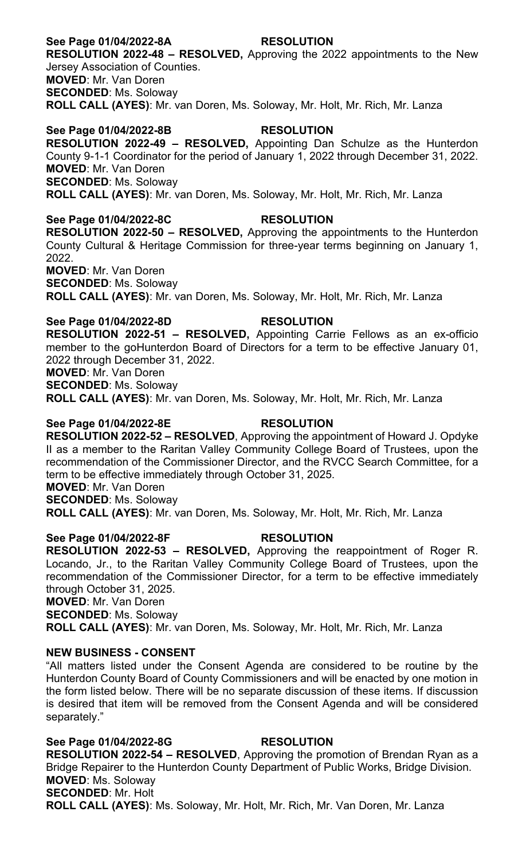## **See Page 01/04/2022-8A RESOLUTION**

**RESOLUTION 2022-48 – RESOLVED,** Approving the 2022 appointments to the New Jersey Association of Counties. **MOVED**: Mr. Van Doren **SECONDED**: Ms. Soloway

**ROLL CALL (AYES)**: Mr. van Doren, Ms. Soloway, Mr. Holt, Mr. Rich, Mr. Lanza

## **See Page 01/04/2022-8B RESOLUTION**

**RESOLUTION 2022-49 – RESOLVED,** Appointing Dan Schulze as the Hunterdon County 9-1-1 Coordinator for the period of January 1, 2022 through December 31, 2022. **MOVED**: Mr. Van Doren **SECONDED**: Ms. Soloway

**ROLL CALL (AYES)**: Mr. van Doren, Ms. Soloway, Mr. Holt, Mr. Rich, Mr. Lanza

#### **See Page 01/04/2022-8C RESOLUTION**

**RESOLUTION 2022-50 – RESOLVED,** Approving the appointments to the Hunterdon County Cultural & Heritage Commission for three-year terms beginning on January 1, 2022.

**MOVED**: Mr. Van Doren

**SECONDED**: Ms. Soloway

**ROLL CALL (AYES)**: Mr. van Doren, Ms. Soloway, Mr. Holt, Mr. Rich, Mr. Lanza

**See Page 01/04/2022-8D RESOLUTION RESOLUTION 2022-51 – RESOLVED,** Appointing Carrie Fellows as an ex-officio member to the goHunterdon Board of Directors for a term to be effective January 01, 2022 through December 31, 2022.

**MOVED**: Mr. Van Doren

**SECONDED**: Ms. Soloway

**ROLL CALL (AYES)**: Mr. van Doren, Ms. Soloway, Mr. Holt, Mr. Rich, Mr. Lanza

#### **See Page 01/04/2022-8E RESOLUTION**

**RESOLUTION 2022-52 – RESOLVED**, Approving the appointment of Howard J. Opdyke II as a member to the Raritan Valley Community College Board of Trustees, upon the recommendation of the Commissioner Director, and the RVCC Search Committee, for a term to be effective immediately through October 31, 2025.

**MOVED**: Mr. Van Doren

**SECONDED**: Ms. Soloway

**ROLL CALL (AYES)**: Mr. van Doren, Ms. Soloway, Mr. Holt, Mr. Rich, Mr. Lanza

## **See Page 01/04/2022-8F RESOLUTION**

**RESOLUTION 2022-53 – RESOLVED,** Approving the reappointment of Roger R. Locando, Jr., to the Raritan Valley Community College Board of Trustees, upon the recommendation of the Commissioner Director, for a term to be effective immediately through October 31, 2025.

**MOVED**: Mr. Van Doren

**SECONDED**: Ms. Soloway

**ROLL CALL (AYES)**: Mr. van Doren, Ms. Soloway, Mr. Holt, Mr. Rich, Mr. Lanza

#### **NEW BUSINESS - CONSENT**

"All matters listed under the Consent Agenda are considered to be routine by the Hunterdon County Board of County Commissioners and will be enacted by one motion in the form listed below. There will be no separate discussion of these items. If discussion is desired that item will be removed from the Consent Agenda and will be considered separately."

#### **See Page 01/04/2022-8G RESOLUTION**

**RESOLUTION 2022-54 – RESOLVED**, Approving the promotion of Brendan Ryan as a Bridge Repairer to the Hunterdon County Department of Public Works, Bridge Division. **MOVED**: Ms. Soloway **SECONDED**: Mr. Holt

**ROLL CALL (AYES)**: Ms. Soloway, Mr. Holt, Mr. Rich, Mr. Van Doren, Mr. Lanza